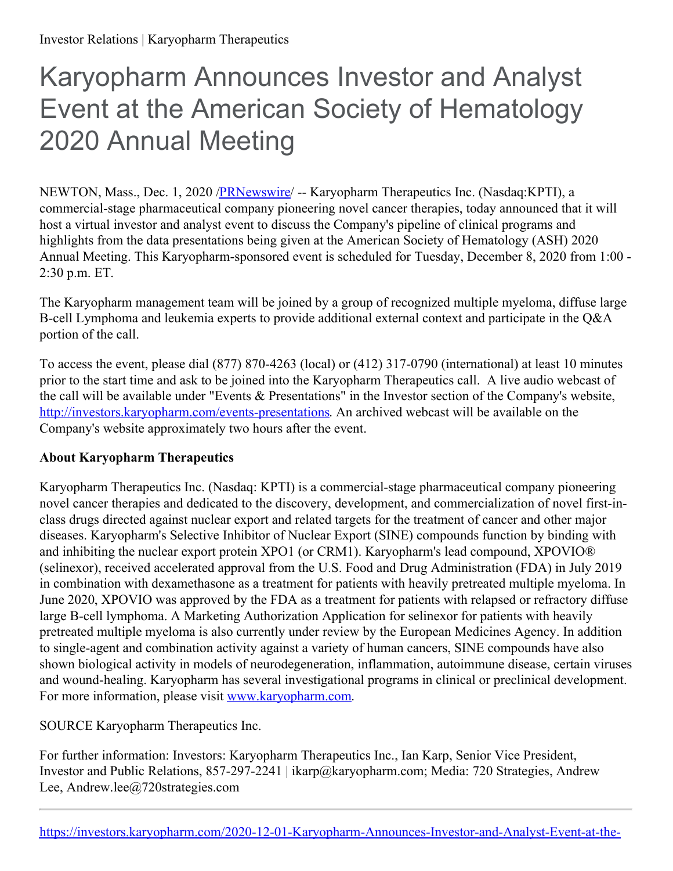## Karyopharm Announces Investor and Analyst Event at the American Society of Hematology 2020 Annual Meeting

NEWTON, Mass., Dec. 1, 2020 /**PRNewswire/** -- Karyopharm Therapeutics Inc. (Nasdaq:KPTI), a commercial-stage pharmaceutical company pioneering novel cancer therapies, today announced that it will host a virtual investor and analyst event to discuss the Company's pipeline of clinical programs and highlights from the data presentations being given at the American Society of Hematology (ASH) 2020 Annual Meeting. This Karyopharm-sponsored event is scheduled for Tuesday, December 8, 2020 from 1:00 - 2:30 p.m. ET.

The Karyopharm management team will be joined by a group of recognized multiple myeloma, diffuse large B-cell Lymphoma and leukemia experts to provide additional external context and participate in the Q&A portion of the call.

To access the event, please dial (877) 870-4263 (local) or (412) 317-0790 (international) at least 10 minutes prior to the start time and ask to be joined into the Karyopharm Therapeutics call. A live audio webcast of the call will be available under "Events & Presentations" in the Investor section of the Company's website, <http://investors.karyopharm.com/events-presentations>. An archived webcast will be available on the Company's website approximately two hours after the event.

## **About Karyopharm Therapeutics**

Karyopharm Therapeutics Inc. (Nasdaq: KPTI) is a commercial-stage pharmaceutical company pioneering novel cancer therapies and dedicated to the discovery, development, and commercialization of novel first-inclass drugs directed against nuclear export and related targets for the treatment of cancer and other major diseases. Karyopharm's Selective Inhibitor of Nuclear Export (SINE) compounds function by binding with and inhibiting the nuclear export protein XPO1 (or CRM1). Karyopharm's lead compound, XPOVIO® (selinexor), received accelerated approval from the U.S. Food and Drug Administration (FDA) in July 2019 in combination with dexamethasone as a treatment for patients with heavily pretreated multiple myeloma. In June 2020, XPOVIO was approved by the FDA as a treatment for patients with relapsed or refractory diffuse large B-cell lymphoma. A Marketing Authorization Application for selinexor for patients with heavily pretreated multiple myeloma is also currently under review by the European Medicines Agency. In addition to single-agent and combination activity against a variety of human cancers, SINE compounds have also shown biological activity in models of neurodegeneration, inflammation, autoimmune disease, certain viruses and wound-healing. Karyopharm has several investigational programs in clinical or preclinical development. For more information, please visit [www.karyopharm.com](https://c212.net/c/link/?t=0&l=en&o=2998092-1&h=4062440937&u=http%3A%2F%2Fwww.karyopharm.com%2F&a=www.karyopharm.com).

SOURCE Karyopharm Therapeutics Inc.

For further information: Investors: Karyopharm Therapeutics Inc., Ian Karp, Senior Vice President, Investor and Public Relations, 857-297-2241 | ikarp@karyopharm.com; Media: 720 Strategies, Andrew Lee, Andrew.lee@720strategies.com